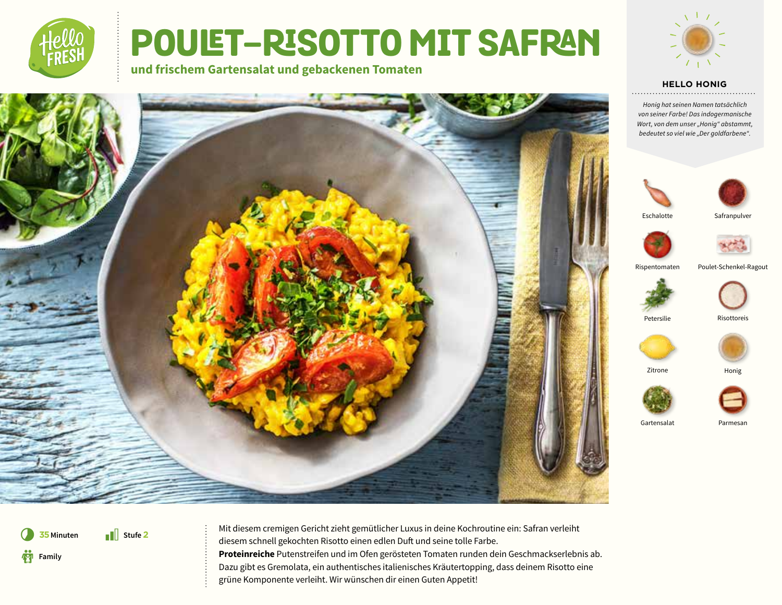

# **POULET-RISOTTO MIT SAFRAN**

**und frischem Gartensalat und gebackenen Tomaten**



#### **HELLO HONIG**

*Honig hat seinen Namen tatsächlich von seiner Farbe! Das indogermanische Wort, von dem unser "Honig" abstammt, bedeutet so viel wie "Der goldfarbene".*





Eschalotte





Rispentomaten Poulet-Schenkel-Ragout







Petersilie Risottoreis







Gartensalat Parmesan



**75** Minuten Mit diesem cremigen Gericht zieht gemütlicher Luxus in deine Kochroutine ein: Safran verleiht diesem schnell gekochten Risotto einen edlen Duft und seine tolle Farbe. **Proteinreiche** Putenstreifen und im Ofen gerösteten Tomaten runden dein Geschmackserlebnis ab. Dazu gibt es Gremolata, ein authentisches italienisches Kräutertopping, dass deinem Risotto eine grüne Komponente verleiht. Wir wünschen dir einen Guten Appetit!

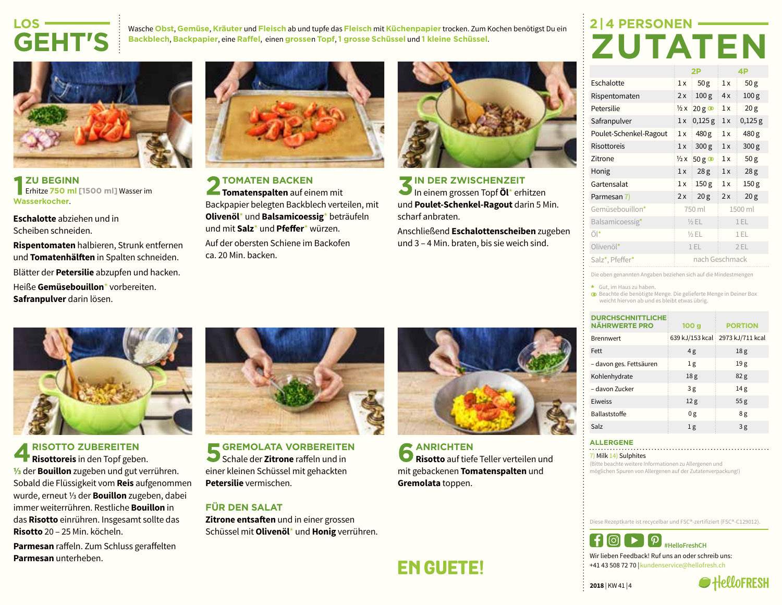### **LOS-GEHT'S**

Wasche **Obst**, **Gemüse**, **Kräuter** und **Fleisch** ab und tupfe das **Fleisch** mit **Küchenpapier** trocken. Zum Kochen benötigst Du ein **Backblech**, **Backpapier**, eine **Raffel**, einen **grosse**n **Topf**, **1 grosse Schüssel** und **1 kleine Schüssel**.

## **2 | 4 PERSONEN-ZUTATEN**



**ZU BEGINN** Erhitze **750 ml [1500 ml]** Wasser im **Wasserkocher**.

**Eschalotte** abziehen und in Scheiben schneiden.

**Rispentomaten** halbieren, Strunk entfernen und **Tomatenhälften** in Spalten schneiden. Blätter der **Petersilie** abzupfen und hacken. Heiße **Gemüsebouillon**\* vorbereiten. **Safranpulver** darin lösen.



**TOMATEN BACKEN Tomatenspalten** auf einem mit Backpapier belegten Backblech verteilen, mit **Olivenöl**\* und **Balsamicoessig**\* beträufeln und mit **Salz**\* und **Pfeffer**\* würzen.

Auf der obersten Schiene im Backofen ca. 20 Min. backen.



**IN DER ZWISCHENZEIT** In einem grossen Topf **Öl**\* erhitzen und **Poulet-Schenkel-Ragout** darin 5 Min. scharf anbraten.

Anschließend **Eschalottenscheiben** zugeben und 3 – 4 Min. braten, bis sie weich sind.

|                        | 2P                     |                  | 4P   |                  |
|------------------------|------------------------|------------------|------|------------------|
| Eschalotte             | 1x                     | 50 <sub>g</sub>  | 1x   | 50 <sub>g</sub>  |
| Rispentomaten          | 2x                     | 100 <sub>g</sub> | 4x   | 100 <sub>g</sub> |
| Petersilie             | $\frac{1}{2}x$         | $20g$ $\circ$    | 1x   | 20 <sub>g</sub>  |
| Safranpulver           | 1x                     | $0,125$ g        | 1x   | $0,125$ g        |
| Poulet-Schenkel-Ragout | 1x                     | 480 g            | 1x   | 480 g            |
| <b>Risottoreis</b>     | 1x                     | 300 <sub>g</sub> | 1x   | 300 <sub>g</sub> |
| Zitrone                | $\frac{1}{2}x$         | $50g$ $\circ$    | 1x   | 50 <sub>g</sub>  |
| Honig                  | 1x                     | 28 <sub>g</sub>  | 1x   | 28 <sub>g</sub>  |
| Gartensalat            | 150 <sub>g</sub><br>1x |                  | 1x   | 150 <sub>g</sub> |
| Parmesan 7)            | 2x                     | 20 <sub>g</sub>  | 2x   | 20 <sub>g</sub>  |
| Gemüsebouillon*        |                        | 750 ml           |      | 1500 ml          |
| Balsamicoessig*        |                        | $1/2$ EL         |      | 1EL              |
| Öl*                    | $1/2$ EL               |                  | 1 EL |                  |
| Olivenöl*              | 1EL                    |                  | 2EL  |                  |
| Salz*, Pfeffer*        |                        | nach Geschmack   |      |                  |
|                        |                        |                  |      |                  |

Die oben genannten Angaben beziehen sich auf die Mindestmengen

\* Gut, im Haus zu haben.

Beachte die benötigte Menge. Die gelieferte Menge in Deiner Box weicht hiervon ab und es bleibt etwas übrig.

| <b>DURCHSCHNITTLICHE</b><br><b>NÄHRWERTE PRO</b> | 100 <sub>g</sub> | <b>PORTION</b>                   |
|--------------------------------------------------|------------------|----------------------------------|
| <b>Brennwert</b>                                 |                  | 639 kJ/153 kcal 2973 kJ/711 kcal |
| Fett                                             | 4g               | 18 <sub>g</sub>                  |
| - davon ges. Fettsäuren                          | 1g               | 19g                              |
| Kohlenhydrate                                    | 18 <sub>g</sub>  | 82 <sub>g</sub>                  |
| - davon Zucker                                   | 3g               | 14g                              |
| Eiweiss                                          | 12 <sub>g</sub>  | 55 <sub>g</sub>                  |
| <b>Ballaststoffe</b>                             | 0g               | 8g                               |
| Salz                                             | 1g               | 3g                               |

### **ALLERGENE**

7) Milk 14) Sulphites

(Bitte beachte weitere Informationen zu Allergenen und möglichen Spuren von Allergenen auf der Zutatenverpackung!)

Diese Rezeptkarte ist recycelbar und FSC®-zertifiziert (FSC®-C129012).



+41 43 508 72 70 |kundenservice@hellofresh.ch

**2018** | KW 41 | 4





**RISOTTO ZUBEREITEN Risottoreis** in den Topf geben. **⅓** der **Bouillon** zugeben und gut verrühren. Sobald die Flüssigkeit vom **Reis** aufgenommen wurde, erneut ⅓ der **Bouillon** zugeben, dabei immer weiterrühren. Restliche **Bouillon** in das **Risotto** einrühren. Insgesamt sollte das **Risotto** 20 – 25 Min. köcheln.

**Parmesan** raffeln. Zum Schluss geraffelten **Parmesan** unterheben.



**GREMOLATA VORBEREITEN** Schale der **Zitrone** raffeln und in einer kleinen Schüssel mit gehackten **Petersilie** vermischen.

### **FÜR DEN SALAT**

**Zitrone entsaften** und in einer grossen Schüssel mit **Olivenöl**\* und **Honig** verrühren.



**ANRICHTEN Risotto** auf tiefe Teller verteilen und mit gebackenen **Tomatenspalten** und **Gremolata** toppen.

**EN GUETE!**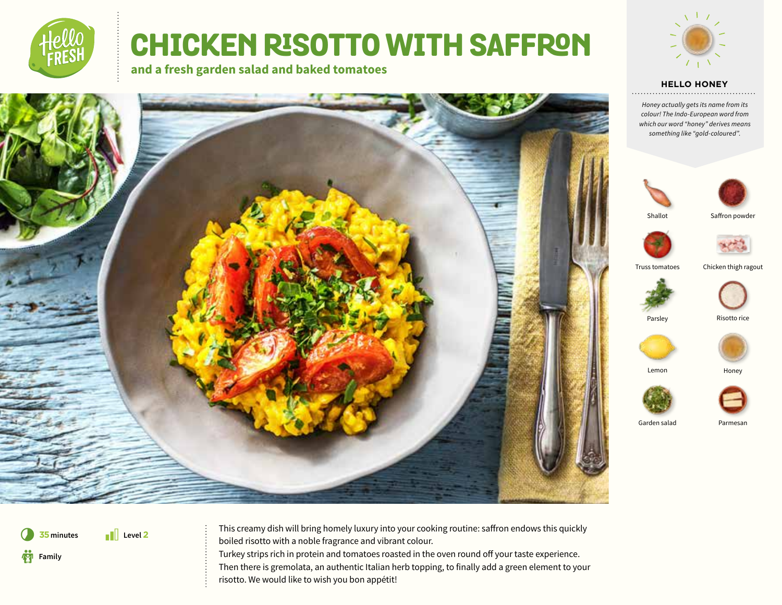

# **CHICKEN RISOTTO WITH SAFFRON**

**and a fresh garden salad and baked tomatoes**







*Honey actually gets its name from its colour! The Indo-European word from which our word "honey" derives means something like "gold-coloured".*





Shallot

Saffron powder



Truss tomatoes Chicken thigh ragout





Parsley Risotto rice



Lemon Honey



Garden salad Parmesan

\* **Level 2 Family** 

**75** minutes **This creamy dish will bring homely luxury into your cooking routine: saffron endows this quickly** boiled risotto with a noble fragrance and vibrant colour. Turkey strips rich in protein and tomatoes roasted in the oven round off your taste experience.

Then there is gremolata, an authentic Italian herb topping, to finally add a green element to your risotto. We would like to wish you bon appétit!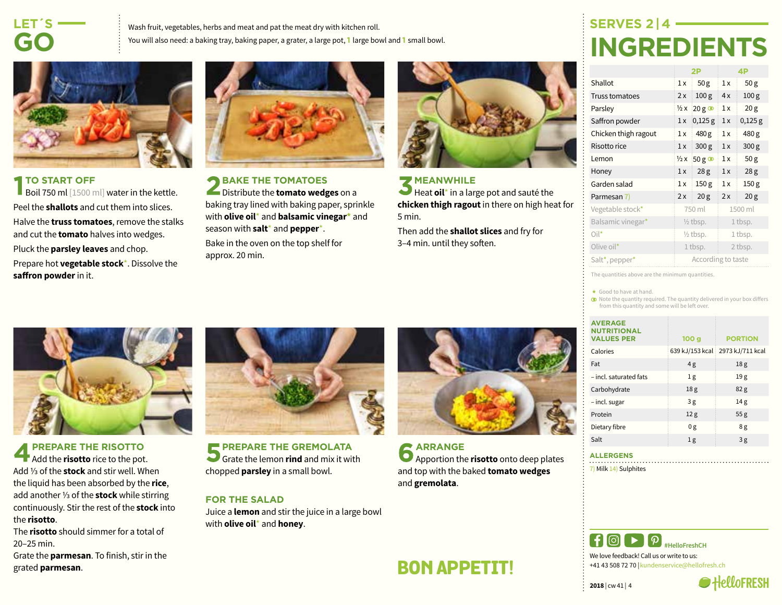### **LET´S-GO**

Wash fruit, vegetables, herbs and meat and pat the meat dry with kitchen roll. You will also need: a baking tray, baking paper, a grater, a large pot, **1** large bowl and **1** small bowl.



### **TO START OFF**

Boil 750 ml [1500 ml] water in the kettle. Peel the **shallots** and cut them into slices. Halve the **truss tomatoes**, remove the stalks and cut the **tomato** halves into wedges. Pluck the **parsley leaves** and chop. Prepare hot **vegetable stock**\*. Dissolve the **saffron powder**in it.



**BAKE THE TOMATOES** Distribute the **tomato wedges** on a baking tray lined with baking paper, sprinkle with **olive oil**\* and **balsamic vinegar\*** and season with **salt**\* and **pepper**\*.

Bake in the oven on the top shelf for approx. 20 min.



#### **MEANWHILE**

Heat **oil**<sup>\*</sup> in a large pot and sauté the **chicken thigh ragout** in there on high heat for 5 min.

Then add the **shallot slices** and fry for 3–4 min. until they soften.

### **SERVES 2 | 4- INGREDIENTS**

|                                         | 2P                  |                   | 4P      |                  |
|-----------------------------------------|---------------------|-------------------|---------|------------------|
| Shallot                                 | 1x                  | 50 <sub>g</sub>   | 1x      | 50 <sub>g</sub>  |
| Truss tomatoes                          | 2x                  | 100 <sub>g</sub>  | 4x      | 100 <sub>g</sub> |
| Parsley                                 | $\frac{1}{2}x$      | $20g$ $\circ$     | 1x      | 20 <sub>g</sub>  |
| Saffron powder                          | 1x                  | $0,125$ g         | 1x      | $0,125$ g        |
| Chicken thigh ragout                    | 1x                  | 480 g             | 1x      | 480 g            |
| Risotto rice                            | 1x                  | 300 <sub>g</sub>  | 1x      | 300 <sub>g</sub> |
| Lemon                                   | $\frac{1}{2}x$      | $50g$ $\circ$     | 1x      | 50 <sub>g</sub>  |
| Honey                                   | 1x                  | 28 <sub>g</sub>   | 1x      | 28 <sub>g</sub>  |
| Garden salad                            | 1x                  | 150 <sub>g</sub>  | 1x      | 150 <sub>g</sub> |
| Parmesan 7)                             | 2x                  | 20 <sub>g</sub>   | 2x      | 20 <sub>g</sub>  |
| Vegetable stock*                        |                     | 750 ml<br>1500 ml |         |                  |
| Balsamic vinegar*                       | $\frac{1}{2}$ tbsp. |                   | 1 tbsp. |                  |
| $Oil^*$                                 | $\frac{1}{2}$ tbsp. |                   | 1 tbsp. |                  |
| Olive oil*                              | 1 tbsp.             |                   | 2 tbsp. |                  |
| Salt <sup>*</sup> , pepper <sup>*</sup> | According to taste  |                   |         |                  |

The quantities above are the minimum quantities.

\* Good to have at hand.

Note the quantity required. The quantity delivered in your box differs from this quantity and some will be left over.

| <b>AVERAGE</b><br><b>NUTRITIONAL</b><br><b>VALUES PER</b> | 100 <sub>g</sub> | <b>PORTION</b>                     |
|-----------------------------------------------------------|------------------|------------------------------------|
| Calories                                                  |                  | 639 kJ/153 kcal   2973 kJ/711 kcal |
| Fat                                                       | 4g               | 18 <sub>g</sub>                    |
| - incl. saturated fats                                    | 1g               | 19g                                |
| Carbohydrate                                              | 18 <sub>g</sub>  | 82 <sub>g</sub>                    |
| - incl. sugar                                             | 3g               | 14 <sub>g</sub>                    |
| Protein                                                   | 12 <sub>g</sub>  | 55 <sub>g</sub>                    |
| Dietary fibre                                             | 0g               | 8g                                 |
| Salt                                                      | 1g               | 3g                                 |

### **ALLERGENS**

7) Milk 14) Sulphites



We love feedback! Call us or write to us: +41 43 508 72 70 |kundenservice@hellofresh.ch





**PREPARE THE RISOTTO** Add the **risotto** rice to the pot. Add ⅓ of the **stock** and stir well. When the liquid has been absorbed by the **rice**, add another ⅓ of the **stock** while stirring continuously. Stir the rest of the **stock** into the **risotto**.

The **risotto** should simmer for a total of 20–25 min.

Grate the **parmesan**. To finish, stir in the grated **parmesan**.



**PREPARE THE GREMOLATA** Grate the lemon **rind** and mix it with chopped **parsley** in a small bowl.

#### **FOR THE SALAD**

Juice a **lemon** and stir the juice in a large bowl with **olive oil**\* and **honey**.



**ARRANGE** Apportion the **risotto** onto deep plates and top with the baked **tomato wedges**  and **gremolata**.

**BON APPETIT!**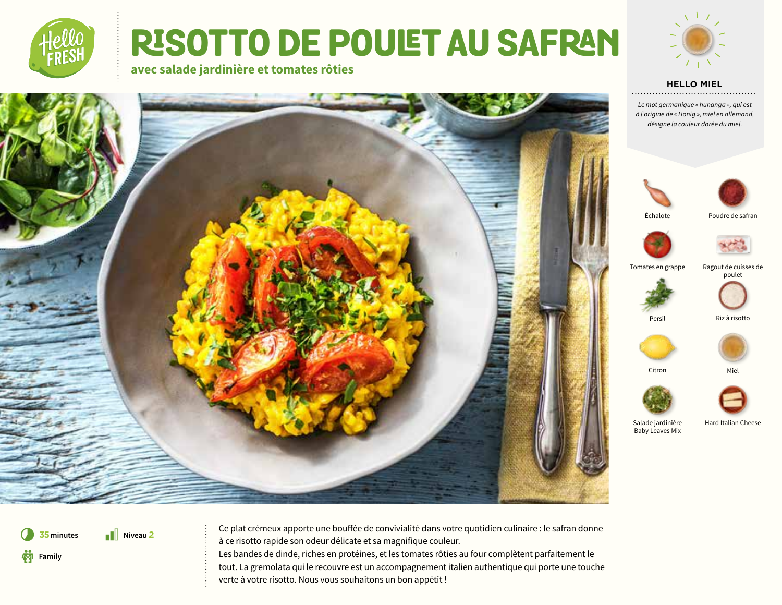

## RISOTTO DE POULET AU SAFRAN **avec salade jardinière et tomates rôties**





*Le mot germanique « hunanga », qui est à l'origine de « Honig », miel en allemand, désigne la couleur dorée du miel.*





Échalote

Poudre de safran



Tomates en grappe

Ragout de cuisses de poulet



Persil Riz à risotto



Citron Miel



Baby Leaves Mix

Salade jardinière Hard Italian Cheese



**35** minutes **I** Niveau 2 interviews apporte une bouffée de convivialité dans votre quotidien culinaire : le safran donne à ce risotto rapide son odeur délicate et sa magnifique couleur. Les bandes de dinde, riches en protéines, et les tomates rôties au four complètent parfaitement le tout. La gremolata qui le recouvre est un accompagnement italien authentique qui porte une touche verte à votre risotto. Nous vous souhaitons un bon appétit !